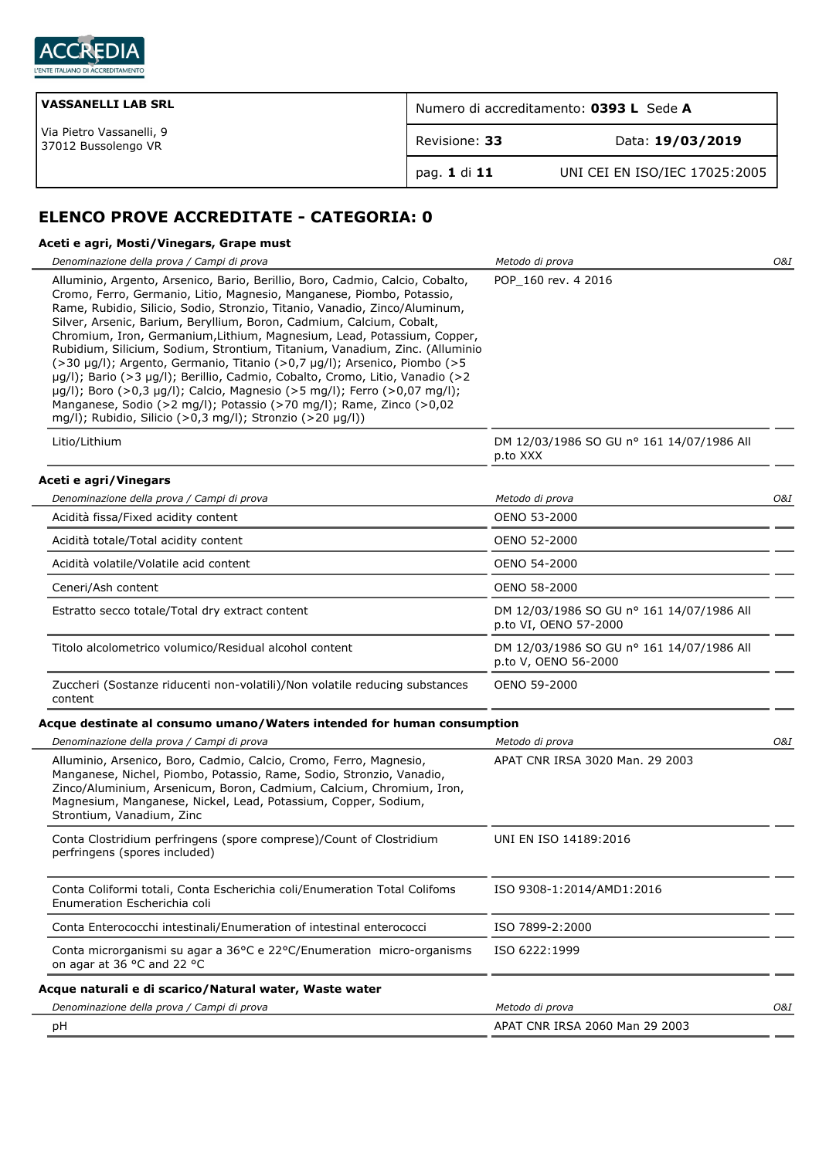

| <b>VASSANELLI LAB SRL</b>                       | Numero di accreditamento: 0393 L Sede A |                               |
|-------------------------------------------------|-----------------------------------------|-------------------------------|
| Via Pietro Vassanelli, 9<br>37012 Bussolengo VR | Revisione: 33                           | Data: 19/03/2019              |
|                                                 | `pag. 1 di 11                           | UNI CEI EN ISO/IEC 17025:2005 |

# **ELENCO PROVE ACCREDITATE - CATEGORIA: 0**

# **Aceti e agri, Mosti/Vinegars, Grape must**

| Denominazione della prova / Campi di prova                                                                                                                                                                                                                                                                                                                                                                                                                                                                                                                                                                                                                                                                                                                                                                                                         | Metodo di prova                                                    | O&I |
|----------------------------------------------------------------------------------------------------------------------------------------------------------------------------------------------------------------------------------------------------------------------------------------------------------------------------------------------------------------------------------------------------------------------------------------------------------------------------------------------------------------------------------------------------------------------------------------------------------------------------------------------------------------------------------------------------------------------------------------------------------------------------------------------------------------------------------------------------|--------------------------------------------------------------------|-----|
| Alluminio, Argento, Arsenico, Bario, Berillio, Boro, Cadmio, Calcio, Cobalto,<br>Cromo, Ferro, Germanio, Litio, Magnesio, Manganese, Piombo, Potassio,<br>Rame, Rubidio, Silicio, Sodio, Stronzio, Titanio, Vanadio, Zinco/Aluminum,<br>Silver, Arsenic, Barium, Beryllium, Boron, Cadmium, Calcium, Cobalt,<br>Chromium, Iron, Germanium, Lithium, Magnesium, Lead, Potassium, Copper,<br>Rubidium, Silicium, Sodium, Strontium, Titanium, Vanadium, Zinc. (Alluminio<br>(>30 µg/l); Argento, Germanio, Titanio (>0,7 µg/l); Arsenico, Piombo (>5<br>µg/l); Bario (>3 µg/l); Berillio, Cadmio, Cobalto, Cromo, Litio, Vanadio (>2<br>µg/l); Boro (>0,3 µg/l); Calcio, Magnesio (>5 mg/l); Ferro (>0,07 mg/l);<br>Manganese, Sodio (>2 mg/l); Potassio (>70 mg/l); Rame, Zinco (>0,02<br>mg/l); Rubidio, Silicio (>0,3 mg/l); Stronzio (>20 µg/l)) | POP 160 rev. 4 2016                                                |     |
| Litio/Lithium                                                                                                                                                                                                                                                                                                                                                                                                                                                                                                                                                                                                                                                                                                                                                                                                                                      | DM 12/03/1986 SO GU nº 161 14/07/1986 All<br>p.to XXX              |     |
| Aceti e agri/Vinegars                                                                                                                                                                                                                                                                                                                                                                                                                                                                                                                                                                                                                                                                                                                                                                                                                              |                                                                    |     |
| Denominazione della prova / Campi di prova                                                                                                                                                                                                                                                                                                                                                                                                                                                                                                                                                                                                                                                                                                                                                                                                         | Metodo di prova                                                    | O&I |
| Acidità fissa/Fixed acidity content                                                                                                                                                                                                                                                                                                                                                                                                                                                                                                                                                                                                                                                                                                                                                                                                                | OENO 53-2000                                                       |     |
| Acidità totale/Total acidity content                                                                                                                                                                                                                                                                                                                                                                                                                                                                                                                                                                                                                                                                                                                                                                                                               | OENO 52-2000                                                       |     |
| Acidità volatile/Volatile acid content                                                                                                                                                                                                                                                                                                                                                                                                                                                                                                                                                                                                                                                                                                                                                                                                             | OENO 54-2000                                                       |     |
| Ceneri/Ash content                                                                                                                                                                                                                                                                                                                                                                                                                                                                                                                                                                                                                                                                                                                                                                                                                                 | OENO 58-2000                                                       |     |
| Estratto secco totale/Total dry extract content                                                                                                                                                                                                                                                                                                                                                                                                                                                                                                                                                                                                                                                                                                                                                                                                    | DM 12/03/1986 SO GU nº 161 14/07/1986 All<br>p.to VI, OENO 57-2000 |     |
| Titolo alcolometrico volumico/Residual alcohol content                                                                                                                                                                                                                                                                                                                                                                                                                                                                                                                                                                                                                                                                                                                                                                                             | DM 12/03/1986 SO GU nº 161 14/07/1986 All<br>p.to V, OENO 56-2000  |     |
| Zuccheri (Sostanze riducenti non-volatili)/Non volatile reducing substances<br>content                                                                                                                                                                                                                                                                                                                                                                                                                                                                                                                                                                                                                                                                                                                                                             | OENO 59-2000                                                       |     |
| Acque destinate al consumo umano/Waters intended for human consumption                                                                                                                                                                                                                                                                                                                                                                                                                                                                                                                                                                                                                                                                                                                                                                             |                                                                    |     |
| Denominazione della prova / Campi di prova                                                                                                                                                                                                                                                                                                                                                                                                                                                                                                                                                                                                                                                                                                                                                                                                         | Metodo di prova                                                    | O&I |
| Alluminio, Arsenico, Boro, Cadmio, Calcio, Cromo, Ferro, Magnesio,<br>Manganese, Nichel, Piombo, Potassio, Rame, Sodio, Stronzio, Vanadio,<br>Zinco/Aluminium, Arsenicum, Boron, Cadmium, Calcium, Chromium, Iron,<br>Magnesium, Manganese, Nickel, Lead, Potassium, Copper, Sodium,<br>Strontium, Vanadium, Zinc                                                                                                                                                                                                                                                                                                                                                                                                                                                                                                                                  | APAT CNR IRSA 3020 Man. 29 2003                                    |     |
| Conta Clostridium perfringens (spore comprese)/Count of Clostridium<br>perfringens (spores included)                                                                                                                                                                                                                                                                                                                                                                                                                                                                                                                                                                                                                                                                                                                                               | UNI EN ISO 14189:2016                                              |     |
| Conta Coliformi totali, Conta Escherichia coli/Enumeration Total Colifoms<br>Enumeration Escherichia coli                                                                                                                                                                                                                                                                                                                                                                                                                                                                                                                                                                                                                                                                                                                                          | ISO 9308-1:2014/AMD1:2016                                          |     |
| Conta Enterococchi intestinali/Enumeration of intestinal enterococci                                                                                                                                                                                                                                                                                                                                                                                                                                                                                                                                                                                                                                                                                                                                                                               | ISO 7899-2:2000                                                    |     |
| Conta microrganismi su agar a 36°C e 22°C/Enumeration micro-organisms<br>on agar at 36 °C and 22 °C                                                                                                                                                                                                                                                                                                                                                                                                                                                                                                                                                                                                                                                                                                                                                | ISO 6222:1999                                                      |     |
| Acque naturali e di scarico/Natural water, Waste water                                                                                                                                                                                                                                                                                                                                                                                                                                                                                                                                                                                                                                                                                                                                                                                             |                                                                    |     |
| Denominazione della prova / Campi di prova                                                                                                                                                                                                                                                                                                                                                                                                                                                                                                                                                                                                                                                                                                                                                                                                         | Metodo di prova                                                    | O&I |
| рH                                                                                                                                                                                                                                                                                                                                                                                                                                                                                                                                                                                                                                                                                                                                                                                                                                                 | APAT CNR IRSA 2060 Man 29 2003                                     |     |
|                                                                                                                                                                                                                                                                                                                                                                                                                                                                                                                                                                                                                                                                                                                                                                                                                                                    |                                                                    |     |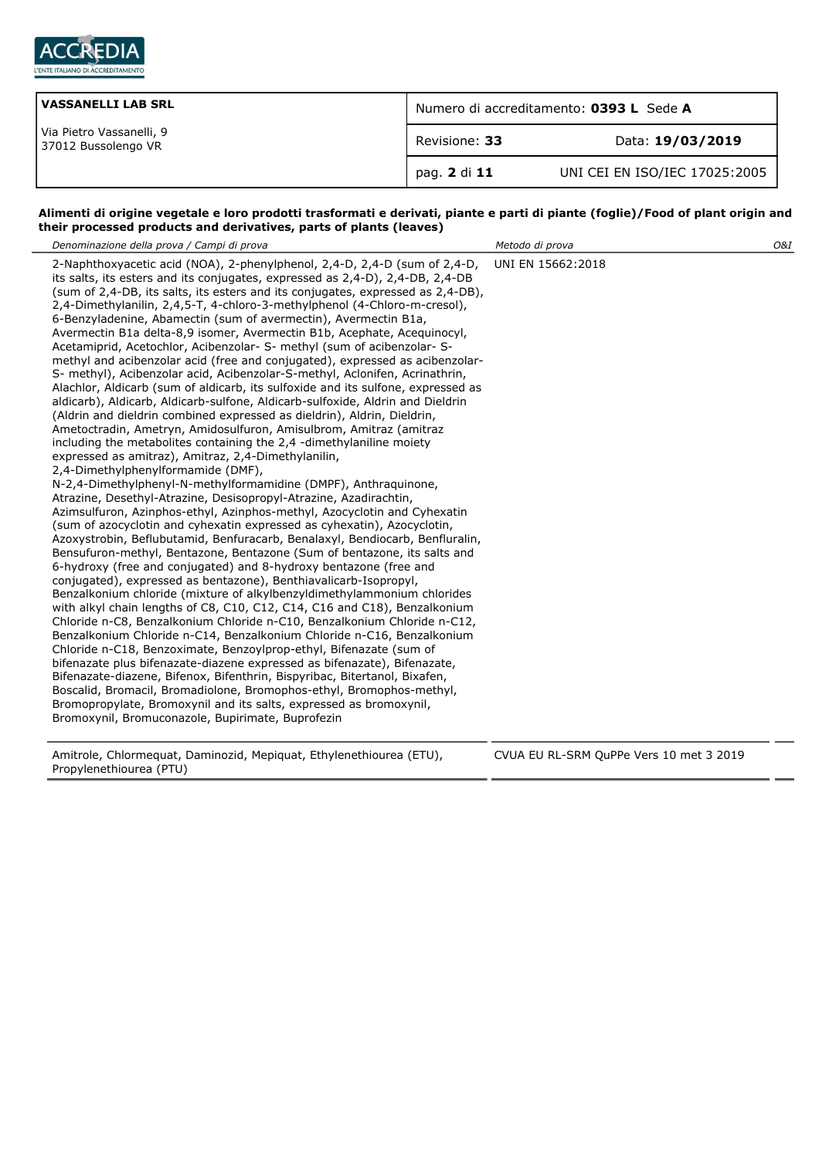

| <b>VASSANELLI LAB SRL</b>                       | Numero di accreditamento: 0393 L Sede A |                               |
|-------------------------------------------------|-----------------------------------------|-------------------------------|
| Via Pietro Vassanelli, 9<br>37012 Bussolengo VR | Revisione: 33                           | Data: 19/03/2019              |
|                                                 | pag. 2 di 11                            | UNI CEI EN ISO/IEC 17025:2005 |

### **Alimenti di origine vegetale e loro prodotti trasformati e derivati, piante e parti di piante (foglie)/Food of plant origin and their processed products and derivatives, parts of plants (leaves)**

| Denominazione della prova / Campi di prova                                                                                                                                                                                                                                                                                                                                                                                                                                                                                                                                                                                                                                                                                                                                                                                                                                                                                                                                                                                                                                                                                                                                                                                                                                                                                                                                                                                                                                                                                                                                                                                                                                                                                                                                                                                                                                                                                                                                                                                                                                                                                                                                                                                                                                                                                                                                                                                                                                                                                                                         | Metodo di prova                         | 0&1 |
|--------------------------------------------------------------------------------------------------------------------------------------------------------------------------------------------------------------------------------------------------------------------------------------------------------------------------------------------------------------------------------------------------------------------------------------------------------------------------------------------------------------------------------------------------------------------------------------------------------------------------------------------------------------------------------------------------------------------------------------------------------------------------------------------------------------------------------------------------------------------------------------------------------------------------------------------------------------------------------------------------------------------------------------------------------------------------------------------------------------------------------------------------------------------------------------------------------------------------------------------------------------------------------------------------------------------------------------------------------------------------------------------------------------------------------------------------------------------------------------------------------------------------------------------------------------------------------------------------------------------------------------------------------------------------------------------------------------------------------------------------------------------------------------------------------------------------------------------------------------------------------------------------------------------------------------------------------------------------------------------------------------------------------------------------------------------------------------------------------------------------------------------------------------------------------------------------------------------------------------------------------------------------------------------------------------------------------------------------------------------------------------------------------------------------------------------------------------------------------------------------------------------------------------------------------------------|-----------------------------------------|-----|
| 2-Naphthoxyacetic acid (NOA), 2-phenylphenol, 2,4-D, 2,4-D (sum of 2,4-D,<br>its salts, its esters and its conjugates, expressed as 2,4-D), 2,4-DB, 2,4-DB<br>(sum of 2,4-DB, its salts, its esters and its conjugates, expressed as 2,4-DB),<br>2,4-Dimethylanilin, 2,4,5-T, 4-chloro-3-methylphenol (4-Chloro-m-cresol),<br>6-Benzyladenine, Abamectin (sum of avermectin), Avermectin B1a,<br>Avermectin B1a delta-8,9 isomer, Avermectin B1b, Acephate, Acequinocyl,<br>Acetamiprid, Acetochlor, Acibenzolar- S- methyl (sum of acibenzolar- S-<br>methyl and acibenzolar acid (free and conjugated), expressed as acibenzolar-<br>S- methyl), Acibenzolar acid, Acibenzolar-S-methyl, Aclonifen, Acrinathrin,<br>Alachlor, Aldicarb (sum of aldicarb, its sulfoxide and its sulfone, expressed as<br>aldicarb), Aldicarb, Aldicarb-sulfone, Aldicarb-sulfoxide, Aldrin and Dieldrin<br>(Aldrin and dieldrin combined expressed as dieldrin), Aldrin, Dieldrin,<br>Ametoctradin, Ametryn, Amidosulfuron, Amisulbrom, Amitraz (amitraz<br>including the metabolites containing the 2,4 -dimethylaniline moiety<br>expressed as amitraz), Amitraz, 2,4-Dimethylanilin,<br>2,4-Dimethylphenylformamide (DMF),<br>N-2,4-Dimethylphenyl-N-methylformamidine (DMPF), Anthraquinone,<br>Atrazine, Desethyl-Atrazine, Desisopropyl-Atrazine, Azadirachtin,<br>Azimsulfuron, Azinphos-ethyl, Azinphos-methyl, Azocyclotin and Cyhexatin<br>(sum of azocyclotin and cyhexatin expressed as cyhexatin), Azocyclotin,<br>Azoxystrobin, Beflubutamid, Benfuracarb, Benalaxyl, Bendiocarb, Benfluralin,<br>Bensufuron-methyl, Bentazone, Bentazone (Sum of bentazone, its salts and<br>6-hydroxy (free and conjugated) and 8-hydroxy bentazone (free and<br>conjugated), expressed as bentazone), Benthiavalicarb-Isopropyl,<br>Benzalkonium chloride (mixture of alkylbenzyldimethylammonium chlorides<br>with alkyl chain lengths of C8, C10, C12, C14, C16 and C18), Benzalkonium<br>Chloride n-C8, Benzalkonium Chloride n-C10, Benzalkonium Chloride n-C12,<br>Benzalkonium Chloride n-C14, Benzalkonium Chloride n-C16, Benzalkonium<br>Chloride n-C18, Benzoximate, Benzoylprop-ethyl, Bifenazate (sum of<br>bifenazate plus bifenazate-diazene expressed as bifenazate), Bifenazate,<br>Bifenazate-diazene, Bifenox, Bifenthrin, Bispyribac, Bitertanol, Bixafen,<br>Boscalid, Bromacil, Bromadiolone, Bromophos-ethyl, Bromophos-methyl,<br>Bromopropylate, Bromoxynil and its salts, expressed as bromoxynil,<br>Bromoxynil, Bromuconazole, Bupirimate, Buprofezin | UNI EN 15662:2018                       |     |
| Amitrole, Chlormequat, Daminozid, Mepiquat, Ethylenethiourea (ETU),                                                                                                                                                                                                                                                                                                                                                                                                                                                                                                                                                                                                                                                                                                                                                                                                                                                                                                                                                                                                                                                                                                                                                                                                                                                                                                                                                                                                                                                                                                                                                                                                                                                                                                                                                                                                                                                                                                                                                                                                                                                                                                                                                                                                                                                                                                                                                                                                                                                                                                | CVUA EU RL-SRM QuPPe Vers 10 met 3 2019 |     |

Propylenethiourea (PTU)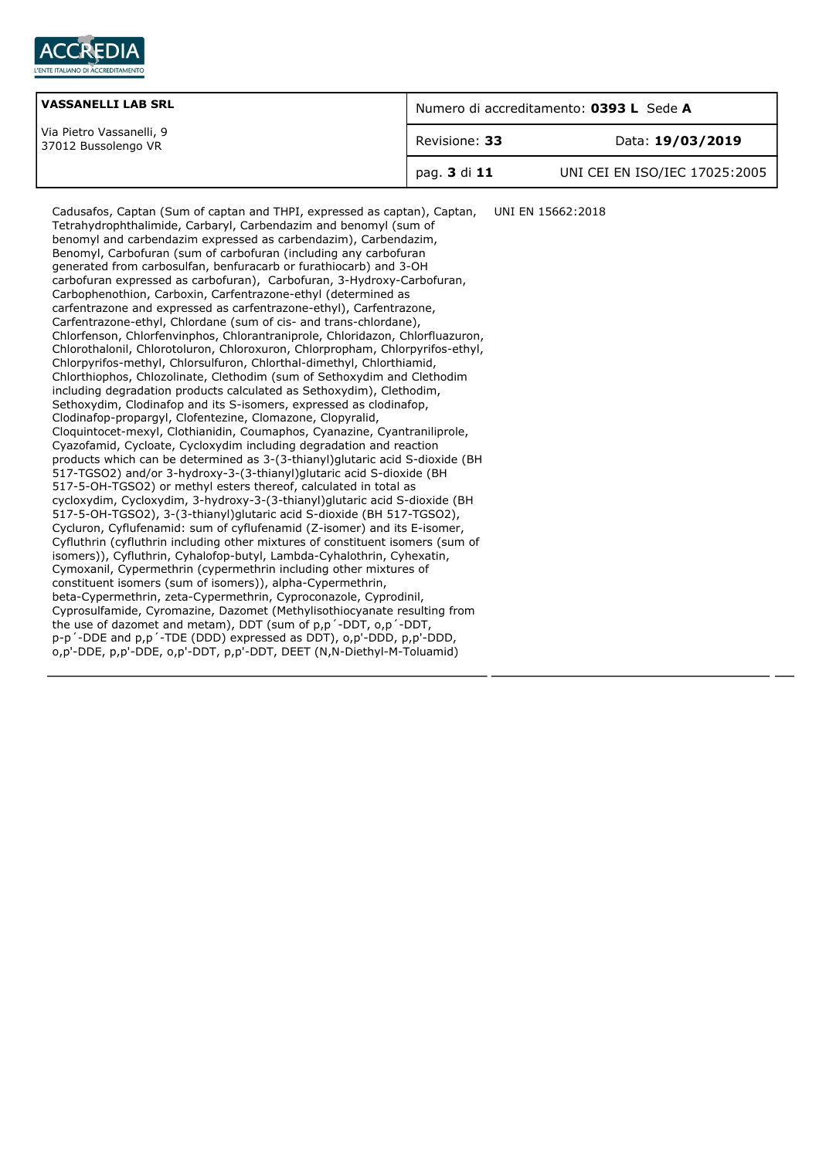

| <b>VASSANELLI LAB SRL</b>                       | Numero di accreditamento: 0393 L Sede A |                               |
|-------------------------------------------------|-----------------------------------------|-------------------------------|
| Via Pietro Vassanelli, 9<br>37012 Bussolengo VR | Revisione: 33                           | Data: 19/03/2019              |
|                                                 | pag. 3 di 11                            | UNI CEI EN ISO/IEC 17025:2005 |

Cadusafos, Captan (Sum of captan and THPI, expressed as captan), Captan, Tetrahydrophthalimide, Carbaryl, Carbendazim and benomyl (sum of benomyl and carbendazim expressed as carbendazim), Carbendazim, Benomyl, Carbofuran (sum of carbofuran (including any carbofuran generated from carbosulfan, benfuracarb or furathiocarb) and 3-OH carbofuran expressed as carbofuran), Carbofuran, 3-Hydroxy-Carbofuran, Carbophenothion, Carboxin, Carfentrazone-ethyl (determined as carfentrazone and expressed as carfentrazone-ethyl), Carfentrazone, Carfentrazone-ethyl, Chlordane (sum of cis- and trans-chlordane), Chlorfenson, Chlorfenvinphos, Chlorantraniprole, Chloridazon, Chlorfluazuron, Chlorothalonil, Chlorotoluron, Chloroxuron, Chlorpropham, Chlorpyrifos-ethyl, Chlorpyrifos-methyl, Chlorsulfuron, Chlorthal-dimethyl, Chlorthiamid, Chlorthiophos, Chlozolinate, Clethodim (sum of Sethoxydim and Clethodim including degradation products calculated as Sethoxydim), Clethodim, Sethoxydim, Clodinafop and its S-isomers, expressed as clodinafop, Clodinafop-propargyl, Clofentezine, Clomazone, Clopyralid, Cloquintocet-mexyl, Clothianidin, Coumaphos, Cyanazine, Cyantraniliprole, Cyazofamid, Cycloate, Cycloxydim including degradation and reaction products which can be determined as 3-(3-thianyl)glutaric acid S-dioxide (BH 517-TGSO2) and/or 3-hydroxy-3-(3-thianyl)glutaric acid S-dioxide (BH 517-5-OH-TGSO2) or methyl esters thereof, calculated in total as cycloxydim, Cycloxydim, 3-hydroxy-3-(3-thianyl)glutaric acid S-dioxide (BH 517-5-OH-TGSO2), 3-(3-thianyl)glutaric acid S-dioxide (BH 517-TGSO2), Cycluron, Cyflufenamid: sum of cyflufenamid (Z-isomer) and its E-isomer, Cyfluthrin (cyfluthrin including other mixtures of constituent isomers (sum of isomers)), Cyfluthrin, Cyhalofop-butyl, Lambda-Cyhalothrin, Cyhexatin, Cymoxanil, Cypermethrin (cypermethrin including other mixtures of constituent isomers (sum of isomers)), alpha-Cypermethrin, beta-Cypermethrin, zeta-Cypermethrin, Cyproconazole, Cyprodinil, Cyprosulfamide, Cyromazine, Dazomet (Methylisothiocyanate resulting from the use of dazomet and metam), DDT (sum of p,p´-DDT, o,p´-DDT, p-p´-DDE and p,p´-TDE (DDD) expressed as DDT), o,p'-DDD, p,p'-DDD, o,p'-DDE, p,p'-DDE, o,p'-DDT, p,p'-DDT, DEET (N,N-Diethyl-M-Toluamid) UNI EN 15662:2018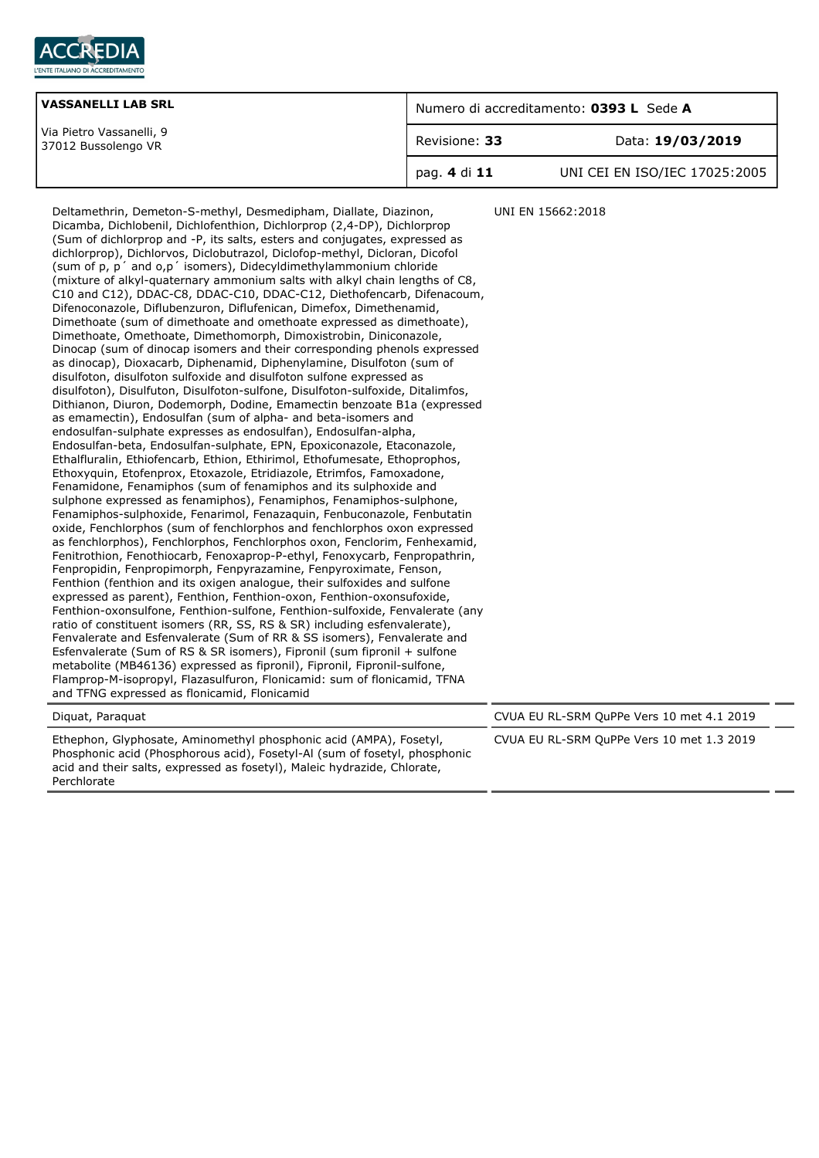

| <b>VASSANELLI LAB SRL</b>                       | Numero di accreditamento: 0393 L Sede A |                               |
|-------------------------------------------------|-----------------------------------------|-------------------------------|
| Via Pietro Vassanelli, 9<br>37012 Bussolengo VR | Revisione: 33                           | Data: 19/03/2019              |
|                                                 | pag. 4 di 11                            | UNI CEI EN ISO/IEC 17025:2005 |

Deltamethrin, Demeton-S-methyl, Desmedipham, Diallate, Diazinon, Dicamba, Dichlobenil, Dichlofenthion, Dichlorprop (2,4-DP), Dichlorprop (Sum of dichlorprop and -P, its salts, esters and conjugates, expressed as dichlorprop), Dichlorvos, Diclobutrazol, Diclofop-methyl, Dicloran, Dicofol (sum of p, p´ and o,p´ isomers), Didecyldimethylammonium chloride (mixture of alkyl-quaternary ammonium salts with alkyl chain lengths of C8, C10 and C12), DDAC-C8, DDAC-C10, DDAC-C12, Diethofencarb, Difenacoum, Difenoconazole, Diflubenzuron, Diflufenican, Dimefox, Dimethenamid, Dimethoate (sum of dimethoate and omethoate expressed as dimethoate), Dimethoate, Omethoate, Dimethomorph, Dimoxistrobin, Diniconazole, Dinocap (sum of dinocap isomers and their corresponding phenols expressed as dinocap), Dioxacarb, Diphenamid, Diphenylamine, Disulfoton (sum of disulfoton, disulfoton sulfoxide and disulfoton sulfone expressed as disulfoton), Disulfuton, Disulfoton-sulfone, Disulfoton-sulfoxide, Ditalimfos, Dithianon, Diuron, Dodemorph, Dodine, Emamectin benzoate B1a (expressed as emamectin), Endosulfan (sum of alpha- and beta-isomers and endosulfan-sulphate expresses as endosulfan), Endosulfan-alpha, Endosulfan-beta, Endosulfan-sulphate, EPN, Epoxiconazole, Etaconazole, Ethalfluralin, Ethiofencarb, Ethion, Ethirimol, Ethofumesate, Ethoprophos, Ethoxyquin, Etofenprox, Etoxazole, Etridiazole, Etrimfos, Famoxadone, Fenamidone, Fenamiphos (sum of fenamiphos and its sulphoxide and sulphone expressed as fenamiphos), Fenamiphos, Fenamiphos-sulphone, Fenamiphos-sulphoxide, Fenarimol, Fenazaquin, Fenbuconazole, Fenbutatin oxide, Fenchlorphos (sum of fenchlorphos and fenchlorphos oxon expressed as fenchlorphos), Fenchlorphos, Fenchlorphos oxon, Fenclorim, Fenhexamid, Fenitrothion, Fenothiocarb, Fenoxaprop-P-ethyl, Fenoxycarb, Fenpropathrin, Fenpropidin, Fenpropimorph, Fenpyrazamine, Fenpyroximate, Fenson, Fenthion (fenthion and its oxigen analogue, their sulfoxides and sulfone expressed as parent), Fenthion, Fenthion-oxon, Fenthion-oxonsufoxide, Fenthion-oxonsulfone, Fenthion-sulfone, Fenthion-sulfoxide, Fenvalerate (any ratio of constituent isomers (RR, SS, RS & SR) including esfenvalerate), Fenvalerate and Esfenvalerate (Sum of RR & SS isomers), Fenvalerate and Esfenvalerate (Sum of RS & SR isomers), Fipronil (sum fipronil + sulfone metabolite (MB46136) expressed as fipronil), Fipronil, Fipronil-sulfone, Flamprop-M-isopropyl, Flazasulfuron, Flonicamid: sum of flonicamid, TFNA and TFNG expressed as flonicamid, Flonicamid Diquat, Paraquat CVUA EU RL-SRM QuPPe Vers 10 met 4.1 2019

Ethephon, Glyphosate, Aminomethyl phosphonic acid (AMPA), Fosetyl, Phosphonic acid (Phosphorous acid), Fosetyl-Al (sum of fosetyl, phosphonic acid and their salts, expressed as fosetyl), Maleic hydrazide, Chlorate, Perchlorate

UNI EN 15662:2018

CVUA EU RL-SRM QuPPe Vers 10 met 1.3 2019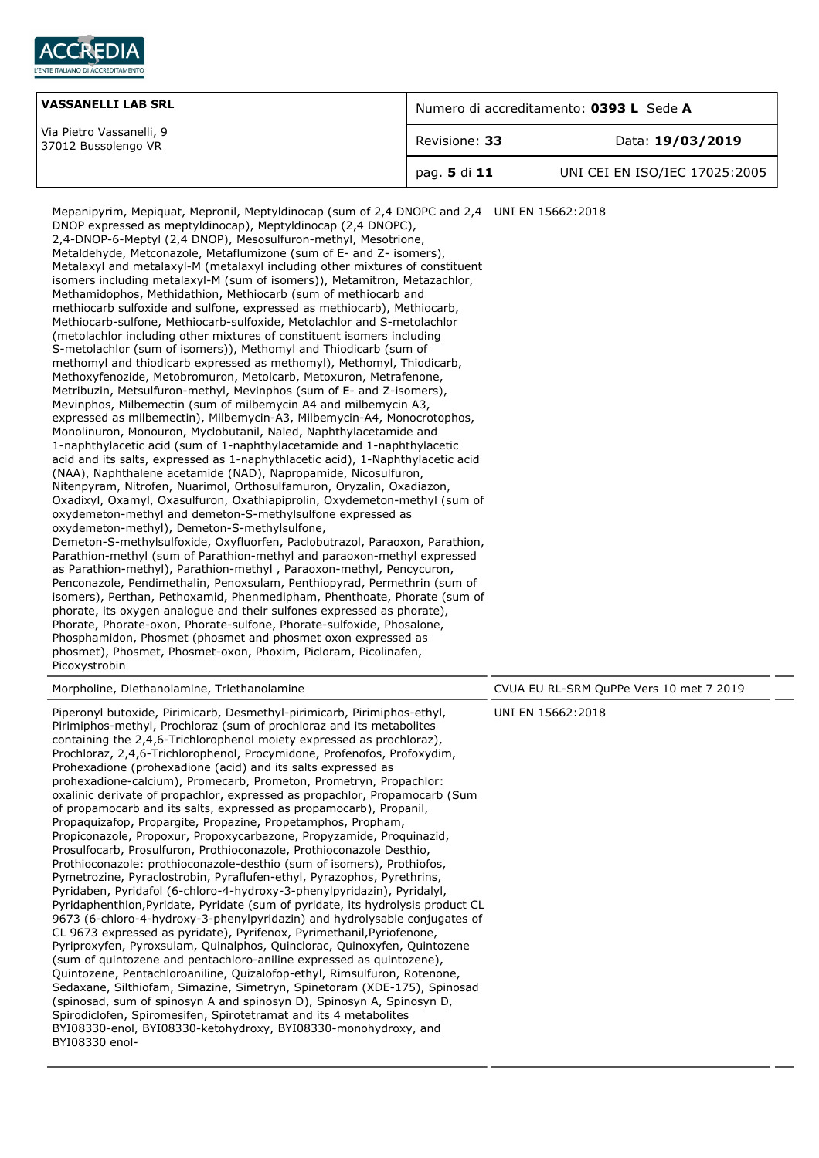

| <b>VASSANELLI LAB SRL</b>                       | Numero di accreditamento: 0393 L Sede A |                               |
|-------------------------------------------------|-----------------------------------------|-------------------------------|
| Via Pietro Vassanelli, 9<br>37012 Bussolengo VR | Revisione: 33                           | Data: 19/03/2019              |
|                                                 | pag. 5 di 11                            | UNI CEI EN ISO/IEC 17025:2005 |

| Mepanipyrim, Mepiquat, Mepronil, Meptyldinocap (sum of 2,4 DNOPC and 2,4 UNI EN 15662:2018<br>DNOP expressed as meptyldinocap), Meptyldinocap (2,4 DNOPC),<br>2,4-DNOP-6-Meptyl (2,4 DNOP), Mesosulfuron-methyl, Mesotrione,<br>Metaldehyde, Metconazole, Metaflumizone (sum of E- and Z- isomers),<br>Metalaxyl and metalaxyl-M (metalaxyl including other mixtures of constituent<br>isomers including metalaxyl-M (sum of isomers)), Metamitron, Metazachlor,<br>Methamidophos, Methidathion, Methiocarb (sum of methiocarb and<br>methiocarb sulfoxide and sulfone, expressed as methiocarb), Methiocarb,<br>Methiocarb-sulfone, Methiocarb-sulfoxide, Metolachlor and S-metolachlor<br>(metolachlor including other mixtures of constituent isomers including<br>S-metolachlor (sum of isomers)), Methomyl and Thiodicarb (sum of<br>methomyl and thiodicarb expressed as methomyl), Methomyl, Thiodicarb,<br>Methoxyfenozide, Metobromuron, Metolcarb, Metoxuron, Metrafenone,<br>Metribuzin, Metsulfuron-methyl, Mevinphos (sum of E- and Z-isomers),<br>Mevinphos, Milbemectin (sum of milbemycin A4 and milbemycin A3,<br>expressed as milbemectin), Milbemycin-A3, Milbemycin-A4, Monocrotophos,<br>Monolinuron, Monouron, Myclobutanil, Naled, Naphthylacetamide and<br>1-naphthylacetic acid (sum of 1-naphthylacetamide and 1-naphthylacetic<br>acid and its salts, expressed as 1-naphythlacetic acid), 1-Naphthylacetic acid<br>(NAA), Naphthalene acetamide (NAD), Napropamide, Nicosulfuron,<br>Nitenpyram, Nitrofen, Nuarimol, Orthosulfamuron, Oryzalin, Oxadiazon,<br>Oxadixyl, Oxamyl, Oxasulfuron, Oxathiapiprolin, Oxydemeton-methyl (sum of<br>oxydemeton-methyl and demeton-S-methylsulfone expressed as<br>oxydemeton-methyl), Demeton-S-methylsulfone,<br>Demeton-S-methylsulfoxide, Oxyfluorfen, Paclobutrazol, Paraoxon, Parathion,<br>Parathion-methyl (sum of Parathion-methyl and paraoxon-methyl expressed<br>as Parathion-methyl), Parathion-methyl, Paraoxon-methyl, Pencycuron,<br>Penconazole, Pendimethalin, Penoxsulam, Penthiopyrad, Permethrin (sum of<br>isomers), Perthan, Pethoxamid, Phenmedipham, Phenthoate, Phorate (sum of<br>phorate, its oxygen analogue and their sulfones expressed as phorate),<br>Phorate, Phorate-oxon, Phorate-sulfone, Phorate-sulfoxide, Phosalone,<br>Phosphamidon, Phosmet (phosmet and phosmet oxon expressed as<br>phosmet), Phosmet, Phosmet-oxon, Phoxim, Picloram, Picolinafen,<br>Picoxystrobin |                                         |
|------------------------------------------------------------------------------------------------------------------------------------------------------------------------------------------------------------------------------------------------------------------------------------------------------------------------------------------------------------------------------------------------------------------------------------------------------------------------------------------------------------------------------------------------------------------------------------------------------------------------------------------------------------------------------------------------------------------------------------------------------------------------------------------------------------------------------------------------------------------------------------------------------------------------------------------------------------------------------------------------------------------------------------------------------------------------------------------------------------------------------------------------------------------------------------------------------------------------------------------------------------------------------------------------------------------------------------------------------------------------------------------------------------------------------------------------------------------------------------------------------------------------------------------------------------------------------------------------------------------------------------------------------------------------------------------------------------------------------------------------------------------------------------------------------------------------------------------------------------------------------------------------------------------------------------------------------------------------------------------------------------------------------------------------------------------------------------------------------------------------------------------------------------------------------------------------------------------------------------------------------------------------------------------------------------------------------------------------------------------------------------------------------------------------------------------------------------------------------------|-----------------------------------------|
| Morpholine, Diethanolamine, Triethanolamine                                                                                                                                                                                                                                                                                                                                                                                                                                                                                                                                                                                                                                                                                                                                                                                                                                                                                                                                                                                                                                                                                                                                                                                                                                                                                                                                                                                                                                                                                                                                                                                                                                                                                                                                                                                                                                                                                                                                                                                                                                                                                                                                                                                                                                                                                                                                                                                                                                        | CVUA EU RL-SRM QuPPe Vers 10 met 7 2019 |
| Piperonyl butoxide, Pirimicarb, Desmethyl-pirimicarb, Pirimiphos-ethyl,<br>Pirimiphos-methyl, Prochloraz (sum of prochloraz and its metabolites<br>containing the 2,4,6-Trichlorophenol moiety expressed as prochloraz),<br>Prochloraz, 2,4,6-Trichlorophenol, Procymidone, Profenofos, Profoxydim,<br>Prohexadione (prohexadione (acid) and its salts expressed as<br>prohexadione-calcium), Promecarb, Prometon, Prometryn, Propachlor:<br>oxalinic derivate of propachlor, expressed as propachlor, Propamocarb (Sum<br>of propamocarb and its salts, expressed as propamocarb), Propanil,<br>Propaguizafop, Propargite, Propazine, Propetamphos, Propham,<br>Propiconazole, Propoxur, Propoxycarbazone, Propyzamide, Proquinazid,<br>Prosulfocarb, Prosulfuron, Prothioconazole, Prothioconazole Desthio,<br>Prothioconazole: prothioconazole-desthio (sum of isomers), Prothiofos,<br>Pymetrozine, Pyraclostrobin, Pyraflufen-ethyl, Pyrazophos, Pyrethrins,<br>Pyridaben, Pyridafol (6-chloro-4-hydroxy-3-phenylpyridazin), Pyridalyl,<br>Pyridaphenthion, Pyridate, Pyridate (sum of pyridate, its hydrolysis product CL<br>9673 (6-chloro-4-hydroxy-3-phenylpyridazin) and hydrolysable conjugates of<br>CL 9673 expressed as pyridate), Pyrifenox, Pyrimethanil, Pyriofenone,<br>Pyriproxyfen, Pyroxsulam, Quinalphos, Quinclorac, Quinoxyfen, Quintozene<br>(sum of quintozene and pentachloro-aniline expressed as quintozene),<br>Quintozene, Pentachloroaniline, Quizalofop-ethyl, Rimsulfuron, Rotenone,<br>Sedaxane, Silthiofam, Simazine, Simetryn, Spinetoram (XDE-175), Spinosad<br>(spinosad, sum of spinosyn A and spinosyn D), Spinosyn A, Spinosyn D,<br>Spirodiclofen, Spiromesifen, Spirotetramat and its 4 metabolites<br>BYI08330-enol, BYI08330-ketohydroxy, BYI08330-monohydroxy, and<br>BYI08330 enol-                                                                                                                                                                                                                                                                                                                                                                                                                                                                                                                                                                                                                                                | UNI EN 15662:2018                       |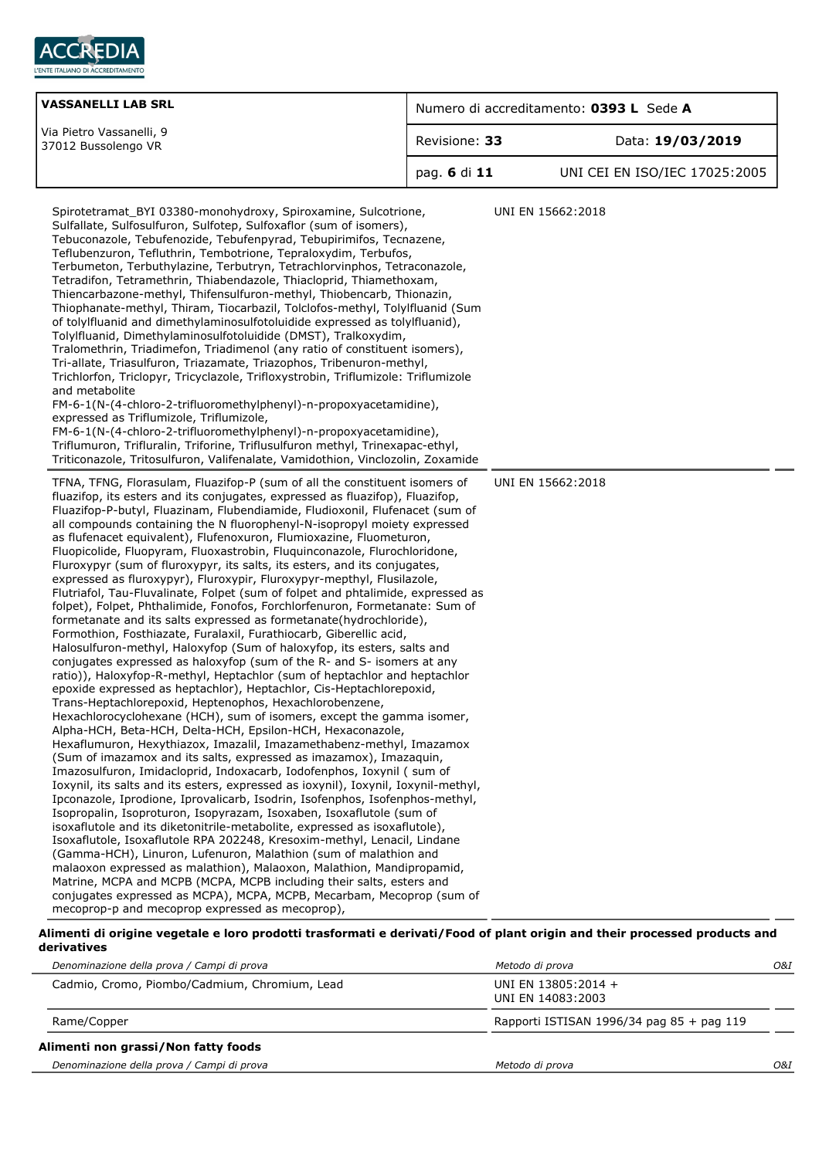

| <b>VASSANELLI LAB SRL</b>                                                                                                                                                                                                                                                                                                                                                                                                                                                                                                                                                                                                                                                                                                                                                                                                                                                                                                                                                                                                                                                                                                                                                                                                                                                                                                                                                                                                                                                                                                                                                                                                                                                                                                                                                                                                                                                                                                                                                                                                                                                                                                                                                                                                                                                                                                                                                                                                                                                                                                                                                                                                                                                                                                                                                                                                                                                                                                                                                                                                                                                                                                                                                                                                                                                                                                                                                                                                                                                                                                                                                                                                                                                                                                                                                                                          | Numero di accreditamento: 0393 L Sede A |                                        |  |
|--------------------------------------------------------------------------------------------------------------------------------------------------------------------------------------------------------------------------------------------------------------------------------------------------------------------------------------------------------------------------------------------------------------------------------------------------------------------------------------------------------------------------------------------------------------------------------------------------------------------------------------------------------------------------------------------------------------------------------------------------------------------------------------------------------------------------------------------------------------------------------------------------------------------------------------------------------------------------------------------------------------------------------------------------------------------------------------------------------------------------------------------------------------------------------------------------------------------------------------------------------------------------------------------------------------------------------------------------------------------------------------------------------------------------------------------------------------------------------------------------------------------------------------------------------------------------------------------------------------------------------------------------------------------------------------------------------------------------------------------------------------------------------------------------------------------------------------------------------------------------------------------------------------------------------------------------------------------------------------------------------------------------------------------------------------------------------------------------------------------------------------------------------------------------------------------------------------------------------------------------------------------------------------------------------------------------------------------------------------------------------------------------------------------------------------------------------------------------------------------------------------------------------------------------------------------------------------------------------------------------------------------------------------------------------------------------------------------------------------------------------------------------------------------------------------------------------------------------------------------------------------------------------------------------------------------------------------------------------------------------------------------------------------------------------------------------------------------------------------------------------------------------------------------------------------------------------------------------------------------------------------------------------------------------------------------------------------------------------------------------------------------------------------------------------------------------------------------------------------------------------------------------------------------------------------------------------------------------------------------------------------------------------------------------------------------------------------------------------------------------------------------------------------------------------------------|-----------------------------------------|----------------------------------------|--|
| Via Pietro Vassanelli, 9<br>37012 Bussolengo VR                                                                                                                                                                                                                                                                                                                                                                                                                                                                                                                                                                                                                                                                                                                                                                                                                                                                                                                                                                                                                                                                                                                                                                                                                                                                                                                                                                                                                                                                                                                                                                                                                                                                                                                                                                                                                                                                                                                                                                                                                                                                                                                                                                                                                                                                                                                                                                                                                                                                                                                                                                                                                                                                                                                                                                                                                                                                                                                                                                                                                                                                                                                                                                                                                                                                                                                                                                                                                                                                                                                                                                                                                                                                                                                                                                    | Revisione: 33<br>Data: 19/03/2019       |                                        |  |
|                                                                                                                                                                                                                                                                                                                                                                                                                                                                                                                                                                                                                                                                                                                                                                                                                                                                                                                                                                                                                                                                                                                                                                                                                                                                                                                                                                                                                                                                                                                                                                                                                                                                                                                                                                                                                                                                                                                                                                                                                                                                                                                                                                                                                                                                                                                                                                                                                                                                                                                                                                                                                                                                                                                                                                                                                                                                                                                                                                                                                                                                                                                                                                                                                                                                                                                                                                                                                                                                                                                                                                                                                                                                                                                                                                                                                    | pag. 6 di 11                            | UNI CEI EN ISO/IEC 17025:2005          |  |
| Spirotetramat_BYI 03380-monohydroxy, Spiroxamine, Sulcotrione,<br>Sulfallate, Sulfosulfuron, Sulfotep, Sulfoxaflor (sum of isomers),<br>Tebuconazole, Tebufenozide, Tebufenpyrad, Tebupirimifos, Tecnazene,<br>Teflubenzuron, Tefluthrin, Tembotrione, Tepraloxydim, Terbufos,<br>Terbumeton, Terbuthylazine, Terbutryn, Tetrachlorvinphos, Tetraconazole,<br>Tetradifon, Tetramethrin, Thiabendazole, Thiacloprid, Thiamethoxam,<br>Thiencarbazone-methyl, Thifensulfuron-methyl, Thiobencarb, Thionazin,<br>Thiophanate-methyl, Thiram, Tiocarbazil, Tolclofos-methyl, Tolylfluanid (Sum<br>of tolylfluanid and dimethylaminosulfotoluidide expressed as tolylfluanid),<br>Tolylfluanid, Dimethylaminosulfotoluidide (DMST), Tralkoxydim,<br>Tralomethrin, Triadimefon, Triadimenol (any ratio of constituent isomers),<br>Tri-allate, Triasulfuron, Triazamate, Triazophos, Tribenuron-methyl,<br>Trichlorfon, Triclopyr, Tricyclazole, Trifloxystrobin, Triflumizole: Triflumizole<br>and metabolite<br>FM-6-1(N-(4-chloro-2-trifluoromethylphenyl)-n-propoxyacetamidine),<br>expressed as Triflumizole, Triflumizole,<br>FM-6-1(N-(4-chloro-2-trifluoromethylphenyl)-n-propoxyacetamidine),<br>Triflumuron, Trifluralin, Triforine, Triflusulfuron methyl, Trinexapac-ethyl,<br>Triticonazole, Tritosulfuron, Valifenalate, Vamidothion, Vinclozolin, Zoxamide<br>TFNA, TFNG, Florasulam, Fluazifop-P (sum of all the constituent isomers of<br>fluazifop, its esters and its conjugates, expressed as fluazifop), Fluazifop,<br>Fluazifop-P-butyl, Fluazinam, Flubendiamide, Fludioxonil, Flufenacet (sum of<br>all compounds containing the N fluorophenyl-N-isopropyl moiety expressed<br>as flufenacet equivalent), Flufenoxuron, Flumioxazine, Fluometuron,<br>Fluopicolide, Fluopyram, Fluoxastrobin, Fluquinconazole, Flurochloridone,<br>Fluroxypyr (sum of fluroxypyr, its salts, its esters, and its conjugates,<br>expressed as fluroxypyr), Fluroxypir, Fluroxypyr-mepthyl, Flusilazole,<br>Flutriafol, Tau-Fluvalinate, Folpet (sum of folpet and phtalimide, expressed as<br>folpet), Folpet, Phthalimide, Fonofos, Forchlorfenuron, Formetanate: Sum of<br>formetanate and its salts expressed as formetanate(hydrochloride),<br>Formothion, Fosthiazate, Furalaxil, Furathiocarb, Giberellic acid,<br>Halosulfuron-methyl, Haloxyfop (Sum of haloxyfop, its esters, salts and<br>conjugates expressed as haloxyfop (sum of the R- and S- isomers at any<br>ratio)), Haloxyfop-R-methyl, Heptachlor (sum of heptachlor and heptachlor<br>epoxide expressed as heptachlor), Heptachlor, Cis-Heptachlorepoxid,<br>Trans-Heptachlorepoxid, Heptenophos, Hexachlorobenzene,<br>Hexachlorocyclohexane (HCH), sum of isomers, except the gamma isomer,<br>Alpha-HCH, Beta-HCH, Delta-HCH, Epsilon-HCH, Hexaconazole,<br>Hexaflumuron, Hexythiazox, Imazalil, Imazamethabenz-methyl, Imazamox<br>(Sum of imazamox and its salts, expressed as imazamox), Imazaquin,<br>Imazosulfuron, Imidacloprid, Indoxacarb, Iodofenphos, Ioxynil (sum of<br>Ioxynil, its salts and its esters, expressed as ioxynil), Ioxynil, Ioxynil-methyl,<br>Ipconazole, Iprodione, Iprovalicarb, Isodrin, Isofenphos, Isofenphos-methyl,<br>Isopropalin, Isoproturon, Isopyrazam, Isoxaben, Isoxaflutole (sum of<br>isoxaflutole and its diketonitrile-metabolite, expressed as isoxaflutole),<br>Isoxaflutole, Isoxaflutole RPA 202248, Kresoxim-methyl, Lenacil, Lindane<br>(Gamma-HCH), Linuron, Lufenuron, Malathion (sum of malathion and<br>malaoxon expressed as malathion), Malaoxon, Malathion, Mandipropamid,<br>Matrine, MCPA and MCPB (MCPA, MCPB including their salts, esters and<br>conjugates expressed as MCPA), MCPA, MCPB, Mecarbam, Mecoprop (sum of<br>mecoprop-p and mecoprop expressed as mecoprop), |                                         | UNI EN 15662:2018<br>UNI EN 15662:2018 |  |

#### **Alimenti di origine vegetale e loro prodotti trasformati e derivati/Food of plant origin and their processed products and derivatives**

| Denominazione della prova / Campi di prova    | Metodo di prova                             | O&I |
|-----------------------------------------------|---------------------------------------------|-----|
| Cadmio, Cromo, Piombo/Cadmium, Chromium, Lead | UNI EN 13805:2014 +<br>UNI EN 14083:2003    |     |
| Rame/Copper                                   | Rapporti ISTISAN 1996/34 pag $85 +$ pag 119 |     |
| Alimenti non grassi/Non fatty foods           |                                             |     |
| Denominazione della prova / Campi di prova    | Metodo di prova                             | O&I |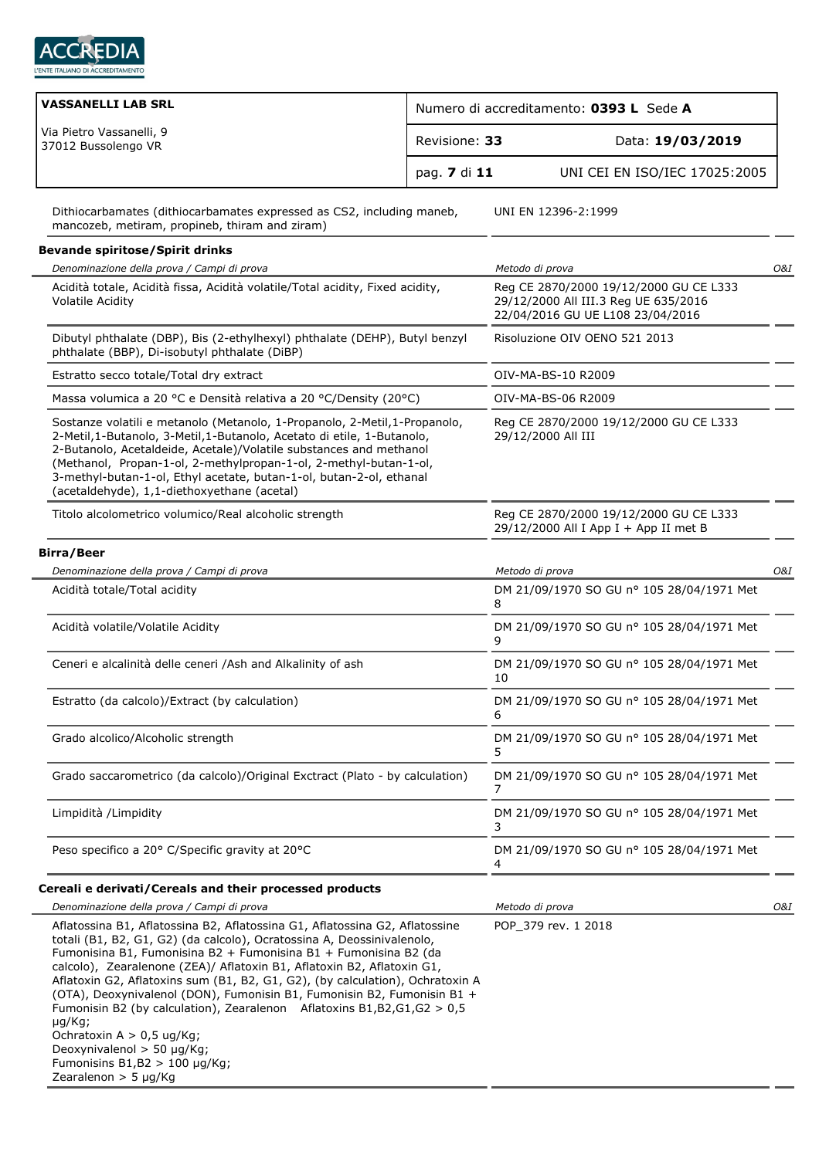

| <b>VASSANELLI LAB SRL</b>                                                                                                                                                                                                                                                                                                                                                                                              | Numero di accreditamento: 0393 L Sede A |                                                                                                                    |     |
|------------------------------------------------------------------------------------------------------------------------------------------------------------------------------------------------------------------------------------------------------------------------------------------------------------------------------------------------------------------------------------------------------------------------|-----------------------------------------|--------------------------------------------------------------------------------------------------------------------|-----|
| Via Pietro Vassanelli, 9<br>37012 Bussolengo VR                                                                                                                                                                                                                                                                                                                                                                        | Revisione: 33                           | Data: 19/03/2019                                                                                                   |     |
|                                                                                                                                                                                                                                                                                                                                                                                                                        | pag. 7 di 11                            | UNI CEI EN ISO/IEC 17025:2005                                                                                      |     |
| Dithiocarbamates (dithiocarbamates expressed as CS2, including maneb,<br>mancozeb, metiram, propineb, thiram and ziram)                                                                                                                                                                                                                                                                                                |                                         | UNI EN 12396-2:1999                                                                                                |     |
| <b>Bevande spiritose/Spirit drinks</b>                                                                                                                                                                                                                                                                                                                                                                                 |                                         |                                                                                                                    |     |
| Denominazione della prova / Campi di prova                                                                                                                                                                                                                                                                                                                                                                             |                                         | Metodo di prova                                                                                                    | O&I |
| Acidità totale, Acidità fissa, Acidità volatile/Total acidity, Fixed acidity,<br><b>Volatile Acidity</b>                                                                                                                                                                                                                                                                                                               |                                         | Reg CE 2870/2000 19/12/2000 GU CE L333<br>29/12/2000 All III.3 Reg UE 635/2016<br>22/04/2016 GU UE L108 23/04/2016 |     |
| Dibutyl phthalate (DBP), Bis (2-ethylhexyl) phthalate (DEHP), Butyl benzyl<br>phthalate (BBP), Di-isobutyl phthalate (DiBP)                                                                                                                                                                                                                                                                                            |                                         | Risoluzione OIV OENO 521 2013                                                                                      |     |
| Estratto secco totale/Total dry extract                                                                                                                                                                                                                                                                                                                                                                                |                                         | OIV-MA-BS-10 R2009                                                                                                 |     |
| Massa volumica a 20 °C e Densità relativa a 20 °C/Density (20°C)                                                                                                                                                                                                                                                                                                                                                       |                                         | OIV-MA-BS-06 R2009                                                                                                 |     |
| Sostanze volatili e metanolo (Metanolo, 1-Propanolo, 2-Metil, 1-Propanolo,<br>2-Metil, 1-Butanolo, 3-Metil, 1-Butanolo, Acetato di etile, 1-Butanolo,<br>2-Butanolo, Acetaldeide, Acetale)/Volatile substances and methanol<br>(Methanol, Propan-1-ol, 2-methylpropan-1-ol, 2-methyl-butan-1-ol,<br>3-methyl-butan-1-ol, Ethyl acetate, butan-1-ol, butan-2-ol, ethanal<br>(acetaldehyde), 1,1-diethoxyethane (acetal) |                                         | Reg CE 2870/2000 19/12/2000 GU CE L333<br>29/12/2000 All III                                                       |     |
| Titolo alcolometrico volumico/Real alcoholic strength                                                                                                                                                                                                                                                                                                                                                                  |                                         | Reg CE 2870/2000 19/12/2000 GU CE L333<br>29/12/2000 All I App I + App II met B                                    |     |
| <b>Birra/Beer</b>                                                                                                                                                                                                                                                                                                                                                                                                      |                                         |                                                                                                                    |     |
| Denominazione della prova / Campi di prova                                                                                                                                                                                                                                                                                                                                                                             |                                         | Metodo di prova                                                                                                    | O&I |
| Acidità totale/Total acidity                                                                                                                                                                                                                                                                                                                                                                                           |                                         | DM 21/09/1970 SO GU nº 105 28/04/1971 Met<br>8                                                                     |     |
| Acidità volatile/Volatile Acidity                                                                                                                                                                                                                                                                                                                                                                                      |                                         | DM 21/09/1970 SO GU nº 105 28/04/1971 Met<br>9                                                                     |     |
| Ceneri e alcalinità delle ceneri /Ash and Alkalinity of ash                                                                                                                                                                                                                                                                                                                                                            |                                         | DM 21/09/1970 SO GU nº 105 28/04/1971 Met<br>10                                                                    |     |
| Estratto (da calcolo)/Extract (by calculation)                                                                                                                                                                                                                                                                                                                                                                         |                                         | DM 21/09/1970 SO GU nº 105 28/04/1971 Met<br>6                                                                     |     |
| Grado alcolico/Alcoholic strength                                                                                                                                                                                                                                                                                                                                                                                      |                                         | DM 21/09/1970 SO GU nº 105 28/04/1971 Met<br>5                                                                     |     |
| Grado saccarometrico (da calcolo)/Original Exctract (Plato - by calculation)                                                                                                                                                                                                                                                                                                                                           |                                         | DM 21/09/1970 SO GU nº 105 28/04/1971 Met<br>7                                                                     |     |
| Limpidità /Limpidity                                                                                                                                                                                                                                                                                                                                                                                                   |                                         | DM 21/09/1970 SO GU nº 105 28/04/1971 Met<br>3                                                                     |     |
| Peso specifico a 20° C/Specific gravity at 20°C                                                                                                                                                                                                                                                                                                                                                                        |                                         | DM 21/09/1970 SO GU nº 105 28/04/1971 Met<br>4                                                                     |     |
| Cereali e derivati/Cereals and their processed products                                                                                                                                                                                                                                                                                                                                                                |                                         |                                                                                                                    |     |
| Denominazione della prova / Campi di prova                                                                                                                                                                                                                                                                                                                                                                             |                                         | Matodo di prova                                                                                                    | O&T |

| Denominazione della prova / Campi di prova                                                                                                                                                                                                                                                                                                                                                                                                                                                                                                                                              | Metodo di prova     | O&I |
|-----------------------------------------------------------------------------------------------------------------------------------------------------------------------------------------------------------------------------------------------------------------------------------------------------------------------------------------------------------------------------------------------------------------------------------------------------------------------------------------------------------------------------------------------------------------------------------------|---------------------|-----|
| Aflatossina B1, Aflatossina B2, Aflatossina G1, Aflatossina G2, Aflatossine<br>totali (B1, B2, G1, G2) (da calcolo), Ocratossina A, Deossinivalenolo,<br>Fumonisina B1, Fumonisina B2 + Fumonisina B1 + Fumonisina B2 (da<br>calcolo), Zearalenone (ZEA)/ Aflatoxin B1, Aflatoxin B2, Aflatoxin G1,<br>Aflatoxin G2, Aflatoxins sum (B1, B2, G1, G2), (by calculation), Ochratoxin A<br>(OTA), Deoxynivalenol (DON), Fumonisin B1, Fumonisin B2, Fumonisin B1 +<br>Fumonisin B2 (by calculation), Zearalenon Aflatoxins B1, B2, G1, G2 $> 0.5$<br>µg/Kg;<br>Ochratoxin $A > 0.5$ ug/Kg; | POP 379 rev. 1 2018 |     |
| Deoxynivalenol $>$ 50 $\mu$ g/Kg;                                                                                                                                                                                                                                                                                                                                                                                                                                                                                                                                                       |                     |     |
| Fumonisins $B1,B2 > 100 \mu q/Kq$ ;                                                                                                                                                                                                                                                                                                                                                                                                                                                                                                                                                     |                     |     |
| Zearalenon $>$ 5 µg/Kg                                                                                                                                                                                                                                                                                                                                                                                                                                                                                                                                                                  |                     |     |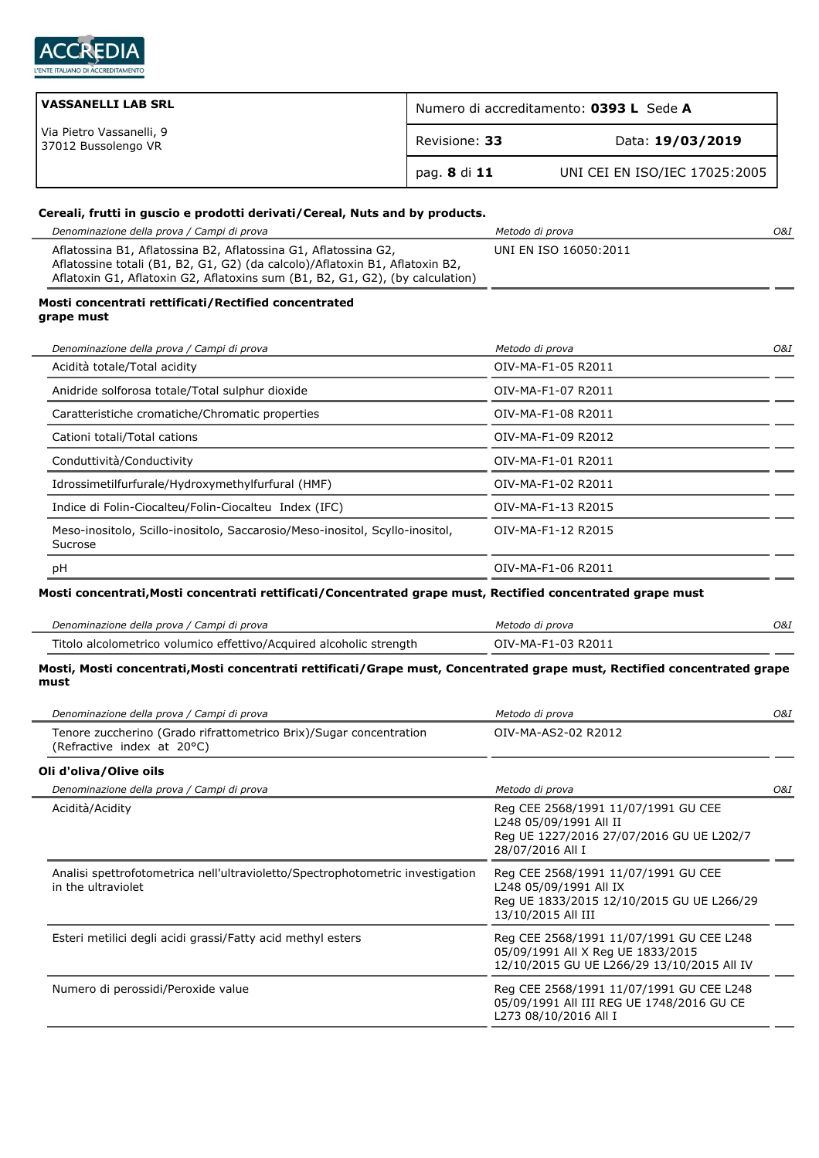

| VASSANELLI LAB SRL                              | Numero di accreditamento: 0393 L Sede A |                               |  |
|-------------------------------------------------|-----------------------------------------|-------------------------------|--|
| Via Pietro Vassanelli, 9<br>37012 Bussolengo VR | Revisione: 33                           | Data: 19/03/2019              |  |
|                                                 | pag. 8 di 11                            | UNI CEI EN ISO/IEC 17025:2005 |  |

## **Cereali, frutti in guscio e prodotti derivati/Cereal, Nuts and by products.**

| Denominazione della prova / Campi di prova                                                                                                                                                                                       | Metodo di prova       | O&I |
|----------------------------------------------------------------------------------------------------------------------------------------------------------------------------------------------------------------------------------|-----------------------|-----|
| Aflatossina B1, Aflatossina B2, Aflatossina G1, Aflatossina G2,<br>Aflatossine totali (B1, B2, G1, G2) (da calcolo)/Aflatoxin B1, Aflatoxin B2,<br>Aflatoxin G1, Aflatoxin G2, Aflatoxins sum (B1, B2, G1, G2), (by calculation) | UNI EN ISO 16050:2011 |     |
| Mosti concentrati rettificati/Rectified concentrated<br>grape must                                                                                                                                                               |                       |     |
| Denominazione della prova / Campi di prova                                                                                                                                                                                       | Metodo di prova       | O&I |
| Acidità totale/Total acidity                                                                                                                                                                                                     | OIV-MA-F1-05 R2011    |     |
| Anidride solforosa totale/Total sulphur dioxide                                                                                                                                                                                  | OIV-MA-F1-07 R2011    |     |
| Caratteristiche cromatiche/Chromatic properties                                                                                                                                                                                  | OIV-MA-F1-08 R2011    |     |
| Cationi totali/Total cations                                                                                                                                                                                                     | OIV-MA-F1-09 R2012    |     |
| Conduttività/Conductivity                                                                                                                                                                                                        | OIV-MA-F1-01 R2011    |     |
| Idrossimetilfurfurale/Hydroxymethylfurfural (HMF)                                                                                                                                                                                | OIV-MA-F1-02 R2011    |     |
| Indice di Folin-Ciocalteu/Folin-Ciocalteu Index (IFC)                                                                                                                                                                            | OIV-MA-F1-13 R2015    |     |
| Meso-inositolo, Scillo-inositolo, Saccarosio/Meso-inositol, Scyllo-inositol,<br>Sucrose                                                                                                                                          | OIV-MA-F1-12 R2015    |     |
| pH                                                                                                                                                                                                                               | OIV-MA-F1-06 R2011    |     |

| Denominazione della prova / Campi di prova                          | Metodo di prova    | 0&I |
|---------------------------------------------------------------------|--------------------|-----|
| Titolo alcolometrico volumico effettivo/Acquired alcoholic strength | OIV-MA-F1-03 R2011 |     |

## **Mosti, Mosti concentrati,Mosti concentrati rettificati/Grape must, Concentrated grape must, Rectified concentrated grape must**

| Denominazione della prova / Campi di prova                                                           | Metodo di prova                                                                                                                  | O&I |
|------------------------------------------------------------------------------------------------------|----------------------------------------------------------------------------------------------------------------------------------|-----|
| Tenore zuccherino (Grado rifrattometrico Brix)/Sugar concentration<br>(Refractive index at 20°C)     | OIV-MA-AS2-02 R2012                                                                                                              |     |
| Oli d'oliva/Olive oils                                                                               |                                                                                                                                  |     |
| Denominazione della prova / Campi di prova                                                           | Metodo di prova                                                                                                                  | O&I |
| Acidità/Acidity                                                                                      | Reg CEE 2568/1991 11/07/1991 GU CEE<br>L248 05/09/1991 All II<br>Reg UE 1227/2016 27/07/2016 GU UE L202/7<br>28/07/2016 All I    |     |
| Analisi spettrofotometrica nell'ultravioletto/Spectrophotometric investigation<br>in the ultraviolet | Reg CEE 2568/1991 11/07/1991 GU CEE<br>L248 05/09/1991 All IX<br>Reg UE 1833/2015 12/10/2015 GU UE L266/29<br>13/10/2015 All III |     |
| Esteri metilici degli acidi grassi/Fatty acid methyl esters                                          | Reg CEE 2568/1991 11/07/1991 GU CEE L248<br>05/09/1991 All X Reg UE 1833/2015<br>12/10/2015 GU UE L266/29 13/10/2015 All IV      |     |
| Numero di perossidi/Peroxide value                                                                   | Reg CEE 2568/1991 11/07/1991 GU CEE L248<br>05/09/1991 All III REG UE 1748/2016 GU CE<br>L273 08/10/2016 All I                   |     |
|                                                                                                      |                                                                                                                                  |     |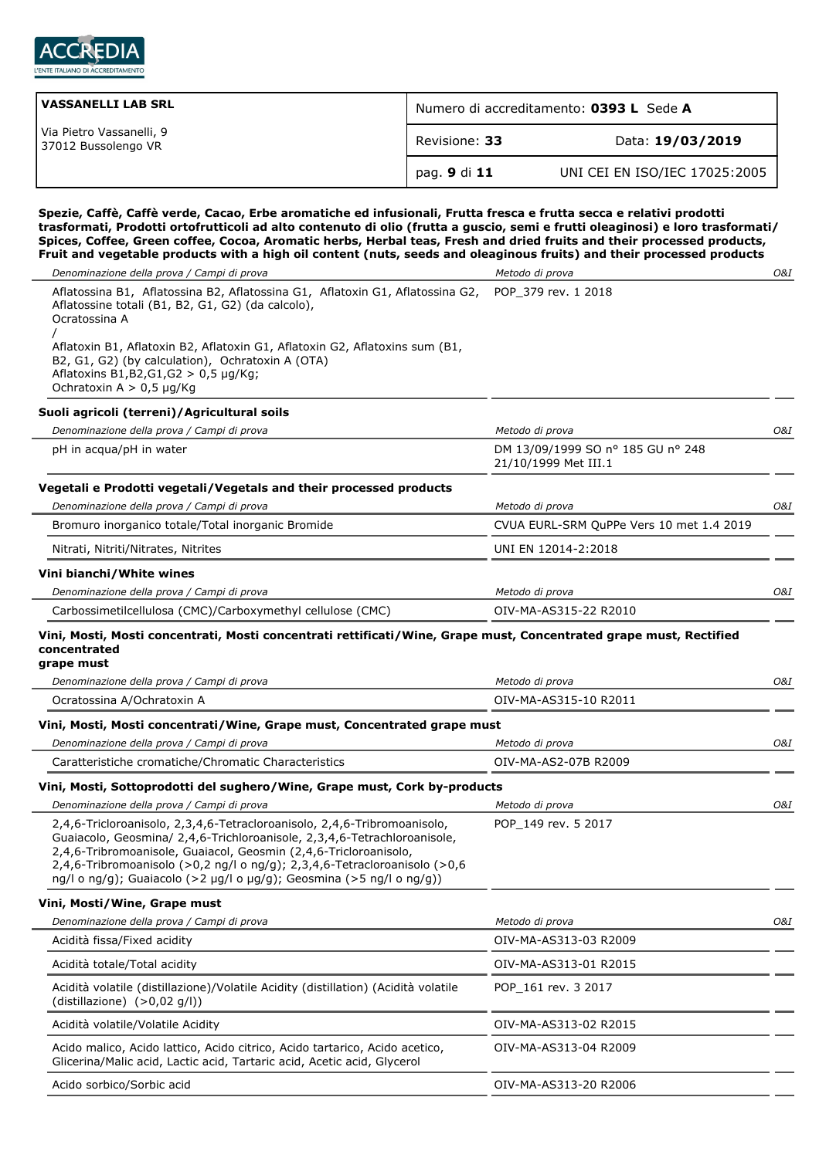

| VASSANELLI LAB SRL                              | Numero di accreditamento: 0393 L Sede A |                               |  |
|-------------------------------------------------|-----------------------------------------|-------------------------------|--|
| Via Pietro Vassanelli, 9<br>37012 Bussolengo VR | Revisione: 33                           | Data: 19/03/2019              |  |
|                                                 | pag. 9 di 11                            | UNI CEI EN ISO/IEC 17025:2005 |  |

**Spezie, Caffè, Caffè verde, Cacao, Erbe aromatiche ed infusionali, Frutta fresca e frutta secca e relativi prodotti trasformati, Prodotti ortofrutticoli ad alto contenuto di olio (frutta a guscio, semi e frutti oleaginosi) e loro trasformati/ Spices, Coffee, Green coffee, Cocoa, Aromatic herbs, Herbal teas, Fresh and dried fruits and their processed products, Fruit and vegetable products with a high oil content (nuts, seeds and oleaginous fruits) and their processed products**

| Denominazione della prova / Campi di prova                                                                                                                                                                                                                                                                                                                                    | Metodo di prova                                           | O&I |
|-------------------------------------------------------------------------------------------------------------------------------------------------------------------------------------------------------------------------------------------------------------------------------------------------------------------------------------------------------------------------------|-----------------------------------------------------------|-----|
| Aflatossina B1, Aflatossina B2, Aflatossina G1, Aflatoxin G1, Aflatossina G2,<br>Aflatossine totali (B1, B2, G1, G2) (da calcolo),<br>Ocratossina A                                                                                                                                                                                                                           | POP_379 rev. 1 2018                                       |     |
| Aflatoxin B1, Aflatoxin B2, Aflatoxin G1, Aflatoxin G2, Aflatoxins sum (B1,<br>B2, G1, G2) (by calculation), Ochratoxin A (OTA)<br>Aflatoxins B1, B2, G1, G2 > 0, 5 µg/Kg;<br>Ochratoxin A $> 0.5$ µg/Kg                                                                                                                                                                      |                                                           |     |
| Suoli agricoli (terreni)/Agricultural soils                                                                                                                                                                                                                                                                                                                                   |                                                           |     |
| Denominazione della prova / Campi di prova                                                                                                                                                                                                                                                                                                                                    | Metodo di prova                                           | O&I |
| pH in acqua/pH in water                                                                                                                                                                                                                                                                                                                                                       | DM 13/09/1999 SO nº 185 GU nº 248<br>21/10/1999 Met III.1 |     |
| Vegetali e Prodotti vegetali/Vegetals and their processed products                                                                                                                                                                                                                                                                                                            |                                                           |     |
| Denominazione della prova / Campi di prova                                                                                                                                                                                                                                                                                                                                    | Metodo di prova                                           | O&I |
| Bromuro inorganico totale/Total inorganic Bromide                                                                                                                                                                                                                                                                                                                             | CVUA EURL-SRM QuPPe Vers 10 met 1.4 2019                  |     |
| Nitrati, Nitriti/Nitrates, Nitrites                                                                                                                                                                                                                                                                                                                                           | UNI EN 12014-2:2018                                       |     |
| Vini bianchi/White wines                                                                                                                                                                                                                                                                                                                                                      |                                                           |     |
| Denominazione della prova / Campi di prova                                                                                                                                                                                                                                                                                                                                    | Metodo di prova                                           | O&I |
| Carbossimetilcellulosa (CMC)/Carboxymethyl cellulose (CMC)                                                                                                                                                                                                                                                                                                                    | OIV-MA-AS315-22 R2010                                     |     |
| Vini, Mosti, Mosti concentrati, Mosti concentrati rettificati/Wine, Grape must, Concentrated grape must, Rectified<br>concentrated<br>grape must                                                                                                                                                                                                                              |                                                           |     |
| Denominazione della prova / Campi di prova                                                                                                                                                                                                                                                                                                                                    | Metodo di prova                                           | O&I |
| Ocratossina A/Ochratoxin A                                                                                                                                                                                                                                                                                                                                                    | OIV-MA-AS315-10 R2011                                     |     |
| Vini, Mosti, Mosti concentrati/Wine, Grape must, Concentrated grape must                                                                                                                                                                                                                                                                                                      |                                                           |     |
| Denominazione della prova / Campi di prova                                                                                                                                                                                                                                                                                                                                    | Metodo di prova                                           | O&I |
| Caratteristiche cromatiche/Chromatic Characteristics                                                                                                                                                                                                                                                                                                                          | OIV-MA-AS2-07B R2009                                      |     |
| Vini, Mosti, Sottoprodotti del sughero/Wine, Grape must, Cork by-products                                                                                                                                                                                                                                                                                                     |                                                           |     |
| Denominazione della prova / Campi di prova                                                                                                                                                                                                                                                                                                                                    | Metodo di prova                                           | O&I |
| 2,4,6-Tricloroanisolo, 2,3,4,6-Tetracloroanisolo, 2,4,6-Tribromoanisolo,<br>Guaiacolo, Geosmina/ 2,4,6-Trichloroanisole, 2,3,4,6-Tetrachloroanisole,<br>2,4,6-Tribromoanisole, Guaiacol, Geosmin (2,4,6-Tricloroanisolo,<br>2,4,6-Tribromoanisolo (>0,2 ng/l o ng/g); 2,3,4,6-Tetracloroanisolo (>0,6<br>ng/l o ng/g); Guaiacolo (>2 µg/l o µg/g); Geosmina (>5 ng/l o ng/g)) | POP 149 rev. 5 2017                                       |     |
| Vini, Mosti/Wine, Grape must                                                                                                                                                                                                                                                                                                                                                  |                                                           |     |
| Denominazione della prova / Campi di prova                                                                                                                                                                                                                                                                                                                                    | Metodo di prova                                           | 0&I |
| Acidità fissa/Fixed acidity                                                                                                                                                                                                                                                                                                                                                   | OIV-MA-AS313-03 R2009                                     |     |
| Acidità totale/Total acidity                                                                                                                                                                                                                                                                                                                                                  | OIV-MA-AS313-01 R2015                                     |     |
| Acidità volatile (distillazione)/Volatile Acidity (distillation) (Acidità volatile<br>(distillazione) (>0,02 g/l))                                                                                                                                                                                                                                                            | POP_161 rev. 3 2017                                       |     |
| Acidità volatile/Volatile Acidity                                                                                                                                                                                                                                                                                                                                             | OIV-MA-AS313-02 R2015                                     |     |
| Acido malico, Acido lattico, Acido citrico, Acido tartarico, Acido acetico,<br>Glicerina/Malic acid, Lactic acid, Tartaric acid, Acetic acid, Glycerol                                                                                                                                                                                                                        | OIV-MA-AS313-04 R2009                                     |     |
| Acido sorbico/Sorbic acid                                                                                                                                                                                                                                                                                                                                                     | OIV-MA-AS313-20 R2006                                     |     |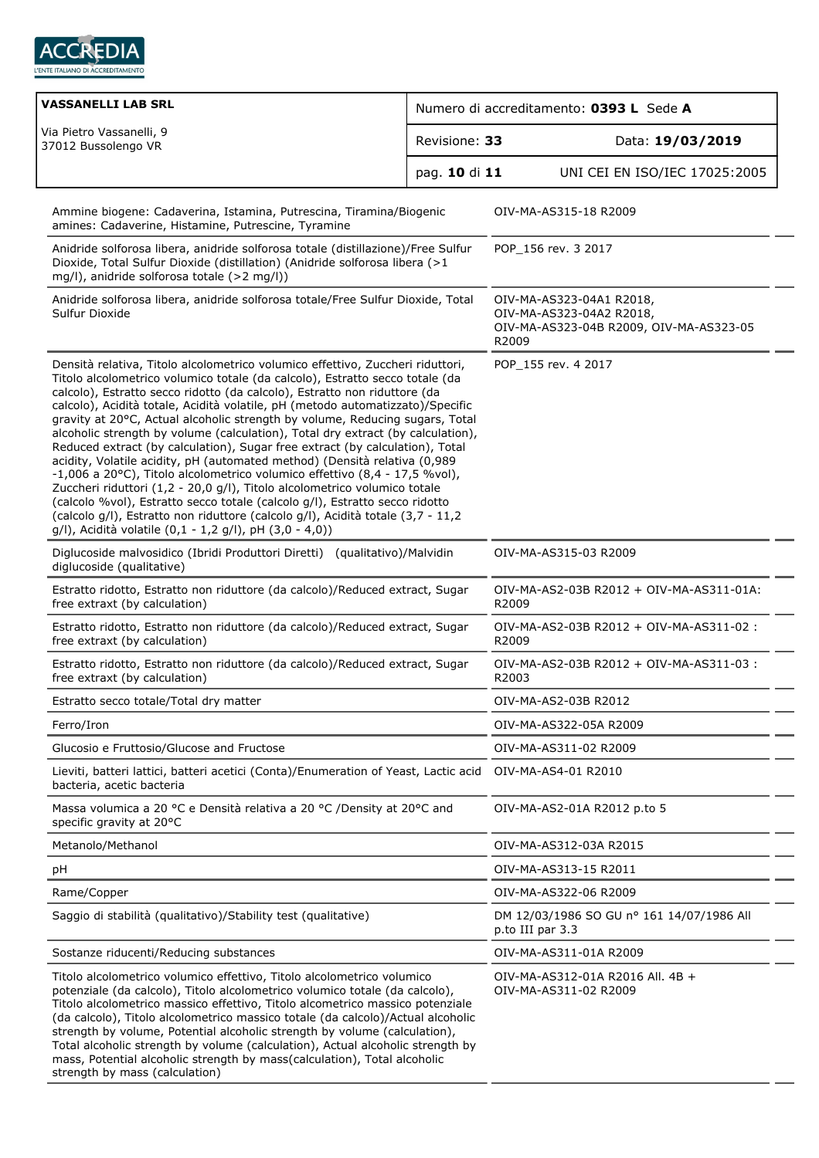

| VASSANELLI LAB SRL                                                                                                                                                                                                                                                                                                                                                                                                                                                                                                                                                                                                                                                                                                                                                                                                                                                                                                                                                                                                                                    | Numero di accreditamento: 0393 L Sede A |                                                                                                          |  |
|-------------------------------------------------------------------------------------------------------------------------------------------------------------------------------------------------------------------------------------------------------------------------------------------------------------------------------------------------------------------------------------------------------------------------------------------------------------------------------------------------------------------------------------------------------------------------------------------------------------------------------------------------------------------------------------------------------------------------------------------------------------------------------------------------------------------------------------------------------------------------------------------------------------------------------------------------------------------------------------------------------------------------------------------------------|-----------------------------------------|----------------------------------------------------------------------------------------------------------|--|
| Via Pietro Vassanelli, 9<br>Revisione: 33<br>37012 Bussolengo VR<br>pag. 10 di 11                                                                                                                                                                                                                                                                                                                                                                                                                                                                                                                                                                                                                                                                                                                                                                                                                                                                                                                                                                     |                                         | Data: 19/03/2019                                                                                         |  |
|                                                                                                                                                                                                                                                                                                                                                                                                                                                                                                                                                                                                                                                                                                                                                                                                                                                                                                                                                                                                                                                       |                                         | UNI CEI EN ISO/IEC 17025:2005                                                                            |  |
| Ammine biogene: Cadaverina, Istamina, Putrescina, Tiramina/Biogenic<br>amines: Cadaverine, Histamine, Putrescine, Tyramine                                                                                                                                                                                                                                                                                                                                                                                                                                                                                                                                                                                                                                                                                                                                                                                                                                                                                                                            |                                         | OIV-MA-AS315-18 R2009                                                                                    |  |
| Anidride solforosa libera, anidride solforosa totale (distillazione)/Free Sulfur<br>Dioxide, Total Sulfur Dioxide (distillation) (Anidride solforosa libera (>1<br>mg/l), anidride solforosa totale (>2 mg/l))                                                                                                                                                                                                                                                                                                                                                                                                                                                                                                                                                                                                                                                                                                                                                                                                                                        |                                         | POP 156 rev. 3 2017                                                                                      |  |
| Anidride solforosa libera, anidride solforosa totale/Free Sulfur Dioxide, Total<br>Sulfur Dioxide                                                                                                                                                                                                                                                                                                                                                                                                                                                                                                                                                                                                                                                                                                                                                                                                                                                                                                                                                     |                                         | OIV-MA-AS323-04A1 R2018,<br>OIV-MA-AS323-04A2 R2018,<br>OIV-MA-AS323-04B R2009, OIV-MA-AS323-05<br>R2009 |  |
| Densità relativa, Titolo alcolometrico volumico effettivo, Zuccheri riduttori,<br>Titolo alcolometrico volumico totale (da calcolo), Estratto secco totale (da<br>calcolo), Estratto secco ridotto (da calcolo), Estratto non riduttore (da<br>calcolo), Acidità totale, Acidità volatile, pH (metodo automatizzato)/Specific<br>gravity at 20°C, Actual alcoholic strength by volume, Reducing sugars, Total<br>alcoholic strength by volume (calculation), Total dry extract (by calculation),<br>Reduced extract (by calculation), Sugar free extract (by calculation), Total<br>acidity, Volatile acidity, pH (automated method) (Densità relativa (0,989<br>-1,006 a 20°C), Titolo alcolometrico volumico effettivo (8,4 - 17,5 %vol),<br>Zuccheri riduttori (1,2 - 20,0 g/l), Titolo alcolometrico volumico totale<br>(calcolo %vol), Estratto secco totale (calcolo g/l), Estratto secco ridotto<br>(calcolo g/l), Estratto non riduttore (calcolo g/l), Acidità totale (3,7 - 11,2<br>g/l), Acidità volatile (0,1 - 1,2 g/l), pH (3,0 - 4,0)) |                                         | POP 155 rev. 4 2017                                                                                      |  |
| Diglucoside malvosidico (Ibridi Produttori Diretti) (qualitativo)/Malvidin<br>diglucoside (qualitative)                                                                                                                                                                                                                                                                                                                                                                                                                                                                                                                                                                                                                                                                                                                                                                                                                                                                                                                                               |                                         | OIV-MA-AS315-03 R2009                                                                                    |  |
| Estratto ridotto, Estratto non riduttore (da calcolo)/Reduced extract, Sugar<br>free extraxt (by calculation)                                                                                                                                                                                                                                                                                                                                                                                                                                                                                                                                                                                                                                                                                                                                                                                                                                                                                                                                         |                                         | OIV-MA-AS2-03B R2012 + OIV-MA-AS311-01A:<br>R2009                                                        |  |
| Estratto ridotto, Estratto non riduttore (da calcolo)/Reduced extract, Sugar<br>free extraxt (by calculation)                                                                                                                                                                                                                                                                                                                                                                                                                                                                                                                                                                                                                                                                                                                                                                                                                                                                                                                                         |                                         | OIV-MA-AS2-03B R2012 + OIV-MA-AS311-02 :<br>R2009                                                        |  |
| Estratto ridotto, Estratto non riduttore (da calcolo)/Reduced extract, Sugar<br>free extraxt (by calculation)                                                                                                                                                                                                                                                                                                                                                                                                                                                                                                                                                                                                                                                                                                                                                                                                                                                                                                                                         |                                         | OIV-MA-AS2-03B R2012 + OIV-MA-AS311-03 :<br>R2003                                                        |  |
| Estratto secco totale/Total dry matter                                                                                                                                                                                                                                                                                                                                                                                                                                                                                                                                                                                                                                                                                                                                                                                                                                                                                                                                                                                                                |                                         | OIV-MA-AS2-03B R2012                                                                                     |  |
| Ferro/Iron                                                                                                                                                                                                                                                                                                                                                                                                                                                                                                                                                                                                                                                                                                                                                                                                                                                                                                                                                                                                                                            |                                         | OIV-MA-AS322-05A R2009                                                                                   |  |
| Glucosio e Fruttosio/Glucose and Fructose                                                                                                                                                                                                                                                                                                                                                                                                                                                                                                                                                                                                                                                                                                                                                                                                                                                                                                                                                                                                             |                                         | OIV-MA-AS311-02 R2009                                                                                    |  |
| Lieviti, batteri lattici, batteri acetici (Conta)/Enumeration of Yeast, Lactic acid<br>bacteria, acetic bacteria                                                                                                                                                                                                                                                                                                                                                                                                                                                                                                                                                                                                                                                                                                                                                                                                                                                                                                                                      |                                         | OIV-MA-AS4-01 R2010                                                                                      |  |
| Massa volumica a 20 °C e Densità relativa a 20 °C /Density at 20°C and<br>specific gravity at 20°C                                                                                                                                                                                                                                                                                                                                                                                                                                                                                                                                                                                                                                                                                                                                                                                                                                                                                                                                                    |                                         | OIV-MA-AS2-01A R2012 p.to 5                                                                              |  |
| Metanolo/Methanol                                                                                                                                                                                                                                                                                                                                                                                                                                                                                                                                                                                                                                                                                                                                                                                                                                                                                                                                                                                                                                     |                                         | OIV-MA-AS312-03A R2015                                                                                   |  |
| pH                                                                                                                                                                                                                                                                                                                                                                                                                                                                                                                                                                                                                                                                                                                                                                                                                                                                                                                                                                                                                                                    |                                         | OIV-MA-AS313-15 R2011                                                                                    |  |
| Rame/Copper                                                                                                                                                                                                                                                                                                                                                                                                                                                                                                                                                                                                                                                                                                                                                                                                                                                                                                                                                                                                                                           |                                         | OIV-MA-AS322-06 R2009                                                                                    |  |
| Saggio di stabilità (qualitativo)/Stability test (qualitative)                                                                                                                                                                                                                                                                                                                                                                                                                                                                                                                                                                                                                                                                                                                                                                                                                                                                                                                                                                                        |                                         | DM 12/03/1986 SO GU nº 161 14/07/1986 All<br>p.to III par 3.3                                            |  |
| Sostanze riducenti/Reducing substances                                                                                                                                                                                                                                                                                                                                                                                                                                                                                                                                                                                                                                                                                                                                                                                                                                                                                                                                                                                                                |                                         | OIV-MA-AS311-01A R2009                                                                                   |  |
| Titolo alcolometrico volumico effettivo, Titolo alcolometrico volumico<br>potenziale (da calcolo), Titolo alcolometrico volumico totale (da calcolo),<br>Titolo alcolometrico massico effettivo, Titolo alcometrico massico potenziale<br>(da calcolo), Titolo alcolometrico massico totale (da calcolo)/Actual alcoholic<br>strength by volume, Potential alcoholic strength by volume (calculation),<br>Total alcoholic strength by volume (calculation), Actual alcoholic strength by<br>mass, Potential alcoholic strength by mass(calculation), Total alcoholic<br>strength by mass (calculation)                                                                                                                                                                                                                                                                                                                                                                                                                                                |                                         | OIV-MA-AS312-01A R2016 All. 4B +<br>OIV-MA-AS311-02 R2009                                                |  |